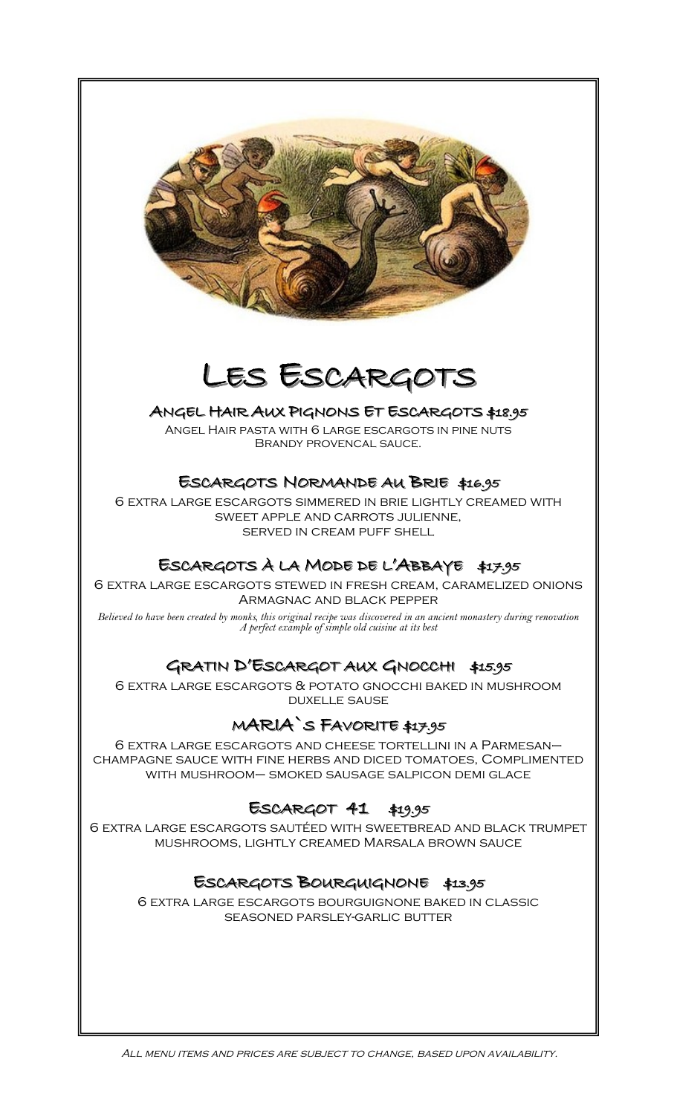

# LES ESCARGOTS

## ANGEL HAIR AUX PIGNONS ET ESCARGOTS \$18.95

Angel Hair pasta with 6 large escargots in pine nuts Brandy provencal sauce.

## ESCARGOTS NORMANDE AU BRIE \$16.95

6 extra large escargots simmered in brie lightly creamed with sweet apple and carrots julienne, served in cream puff shell

## ESCARGOTS À LA MODE DE L'ABBAYE \$17.95

6 extra large escargots stewed in fresh cream, caramelized onions Armagnac and black pepper

*Believed to have been created by monks, this original recipe was discovered in an ancient monastery during renovation A perfect example of simple old cuisine at its best* 

## GRATIN D'ESCARGOT AUX GNOCCHI \$15.95

6 extra large escargots & potato gnocchi baked in mushroom duxelle sause

## MARIA`S FAVORITE \$17.95

6 extra large escargots and cheese tortellini in a Parmesan– champagne sauce with fine herbs and diced tomatoes, Complimented with mushroom– smoked sausage salpicon demi glace

## ESCARGOT 41 \$19.95

6 extra large escargots sautéed with sweetbread and black trumpet mushrooms, lightly creamed Marsala brown sauce

## ESCARGOTS BOURGUIGNONE \$13.95

6 extra large escargots bourguignone baked in classic seasoned parsley-garlic butter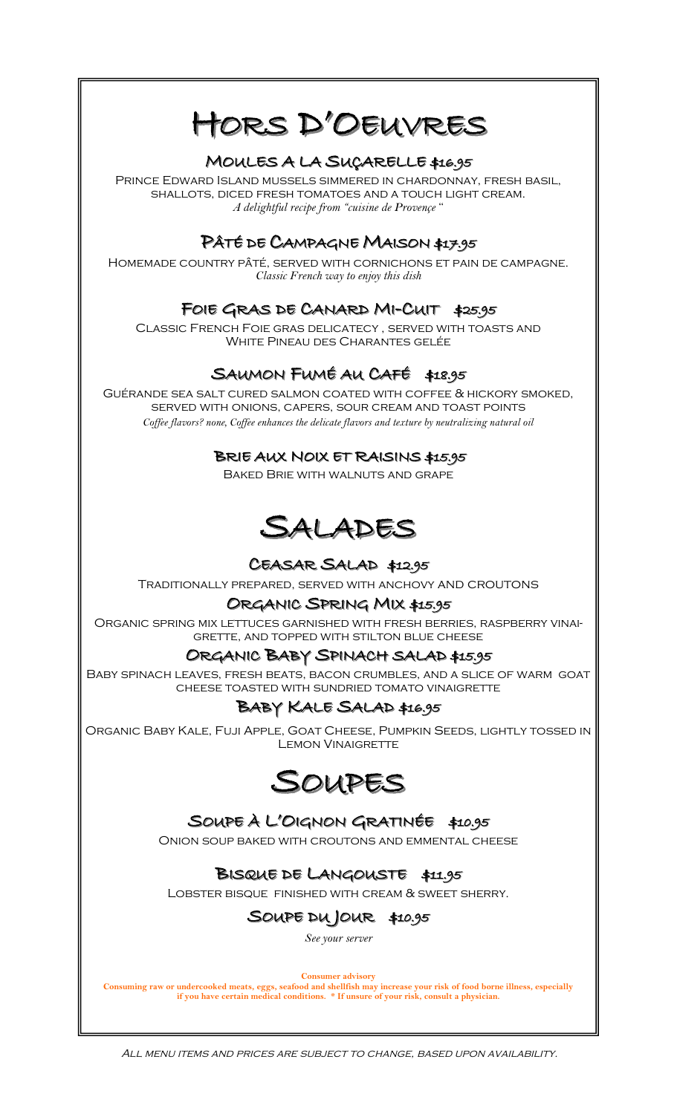# HORS D'OEUVRES

## MOULES A LA SUÇARELLE \$16.95

Prince Edward Island mussels simmered in chardonnay, fresh basil, shallots, diced fresh tomatoes and a touch light cream. *A delightful recipe from "cuisine de Provençe* "

## PÂTÉ DE CAMPAGNE MAISON \$17.95

Homemade country pâté, served with cornichons et pain de campagne. *Classic French way to enjoy this dish* 

## FOIE GRAS DE CANARD MI-CUIT \$25.95

Classic French Foie gras delicatecy , served with toasts and White Pineau des Charantes gelée

## SAUMON FUMÉ AU CAFÉ \$18.95

Guérande sea salt cured salmon coated with coffee & hickory smoked, served with onions, capers, sour cream and toast points *Coffee flavors? none, Coffee enhances the delicate flavors and texture by neutralizing natural oil* 

## BRIE AUX NOIX ET RAISINS \$15.95

Baked Brie with walnuts and grape



## CEASAR SALAD \$12.95

Traditionally prepared, served with anchovy and croutons

## ORGANIC SPRING MIX \$15.95

Organic spring mix lettuces garnished with fresh berries, raspberry vinaigrette, and topped with stilton blue cheese

## ORGANIC BABY SPINACH SALAD \$15.95

Baby spinach leaves, fresh beats, bacon crumbles, and a slice of warm goat cheese toasted with sundried tomato vinaigrette

## BABY KALE SALAD \$16.95

Organic Baby Kale, Fuji Apple, Goat Cheese, Pumpkin Seeds, lightly tossed in LEMON VINAIGRETTE



## SOUPE À L'OIGNON GRATINÉE \$10.95

Onion soup baked with croutons and emmental cheese

## BISQUE DE LANGOUSTE \$11.95

Lobster bisque finished with cream & sweet sherry.

## SOUPE DU JOUR \$10.95

*See your server* 

**Consumer advisory** 

**Consuming raw or undercooked meats, eggs, seafood and shellfish may increase your risk of food borne illness, especially if you have certain medical conditions. \* If unsure of your risk, consult a physician.**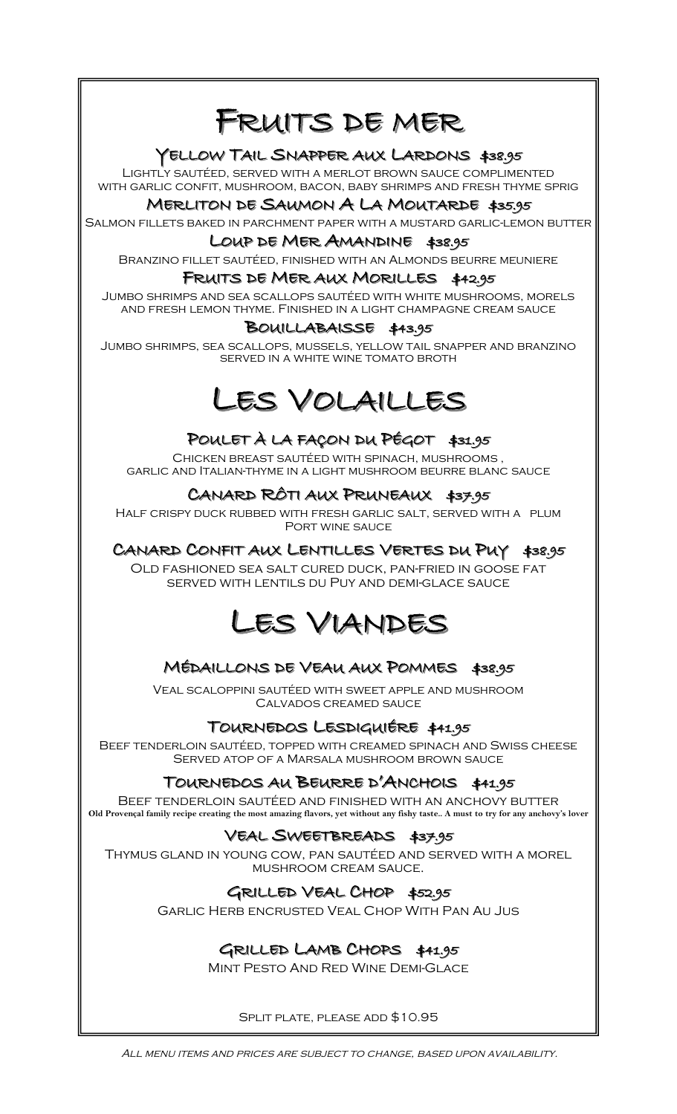# FRUITS DE MER

## YELLOW TAIL SNAPPER AUX LARDONS \$38.95

Lightly sautéed, served with a merlot brown sauce complimented with garlic confit, mushroom, bacon, baby shrimps and fresh thyme sprig

#### MERLITON DE SAUMON A LA MOUTARDE \$35.95

Salmon fillets baked in parchment paper with a mustard garlic-lemon butter

#### LOUP DE MER AMANDINE \$38.95

Branzino fillet sautéed, finished with an Almonds beurre meuniere

#### FRUITS DE MER AUX MORILLES \$42.95

Jumbo shrimps and sea scallops sautéed with white mushrooms, morels and fresh lemon thyme. Finished in a light champagne cream sauce

## BOUILLABAISSE \$43.95

Jumbo shrimps, sea scallops, mussels, yellow tail snapper and branzino served in a white wine tomato broth

# LES VOLAILLES

## POULET À LA FAÇON DU PÉGOT \$31.95

Chicken breast sautéed with spinach, mushrooms , garlic and Italian-thyme in a light mushroom beurre blanc sauce

### CANARD RÔTI AUX PRUNEAUX \$37.95

Half crispy duck rubbed with fresh garlic salt, served with a plum Port wine sauce

## CANARD CONFIT AUX LENTILLES VERTES DU PUY \$38.95

Old fashioned sea salt cured duck, pan-fried in goose fat served with lentils du Puy and demi-glace sauce

## LES VIANDES

## MÉDAILLONS DE VEAU AUX POMMES \$38.95

Veal scaloppini sautéed with sweet apple and mushroom Calvados creamed sauce

### TOURNEDOS LESDIGUIÉRE \$41.95

Beef tenderloin sautéed, topped with creamed spinach and Swiss cheese Served atop of a Marsala mushroom brown sauce

### TOURNEDOS AU BEURRE D'ANCHOIS \$41.95

Beef tenderloin sautéed and finished with an anchovy butter **Old Provençal family recipe creating the most amazing flavors, yet without any fishy taste.. A must to try for any anchovy's lover**

### VEAL SWEETBREADS \$37.95

Thymus gland in young cow, pan sautéed and served with a morel mushroom cream sauce.

## GRILLED VEAL CHOP \$52.95

Garlic Herb encrusted Veal Chop With Pan Au Jus

## GRILLED LAMB CHOPS \$41.95

Mint Pesto And Red Wine Demi-Glace

Split plate, please add \$10.95